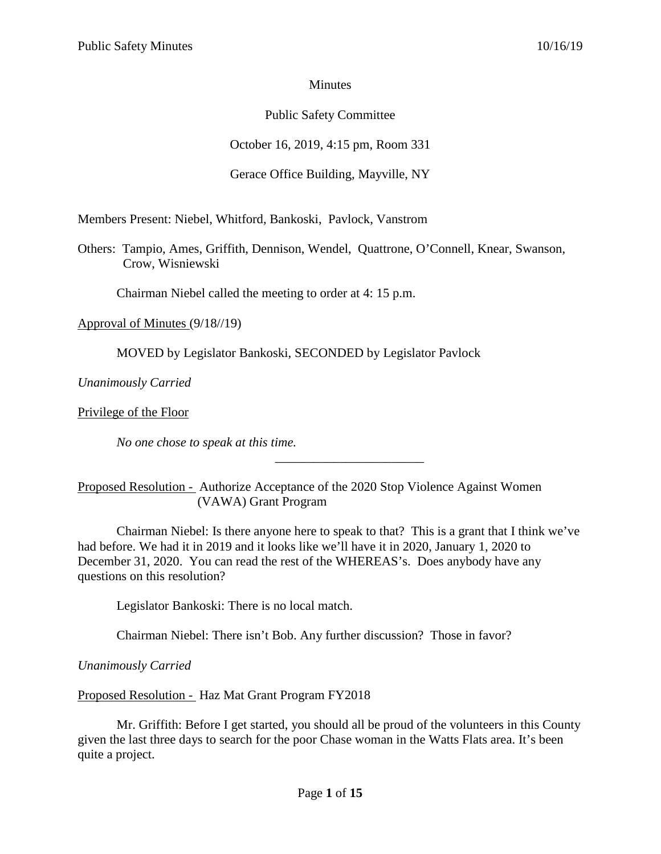### **Minutes**

# Public Safety Committee

October 16, 2019, 4:15 pm, Room 331

# Gerace Office Building, Mayville, NY

Members Present: Niebel, Whitford, Bankoski, Pavlock, Vanstrom

Others: Tampio, Ames, Griffith, Dennison, Wendel, Quattrone, O'Connell, Knear, Swanson, Crow, Wisniewski

Chairman Niebel called the meeting to order at 4: 15 p.m.

Approval of Minutes (9/18//19)

MOVED by Legislator Bankoski, SECONDED by Legislator Pavlock

*Unanimously Carried*

Privilege of the Floor

*No one chose to speak at this time.*

Proposed Resolution - Authorize Acceptance of the 2020 Stop Violence Against Women (VAWA) Grant Program

Chairman Niebel: Is there anyone here to speak to that? This is a grant that I think we've had before. We had it in 2019 and it looks like we'll have it in 2020, January 1, 2020 to December 31, 2020. You can read the rest of the WHEREAS's. Does anybody have any questions on this resolution?

\_\_\_\_\_\_\_\_\_\_\_\_\_\_\_\_\_\_\_\_\_\_\_

Legislator Bankoski: There is no local match.

Chairman Niebel: There isn't Bob. Any further discussion? Those in favor?

*Unanimously Carried*

Proposed Resolution - Haz Mat Grant Program FY2018

Mr. Griffith: Before I get started, you should all be proud of the volunteers in this County given the last three days to search for the poor Chase woman in the Watts Flats area. It's been quite a project.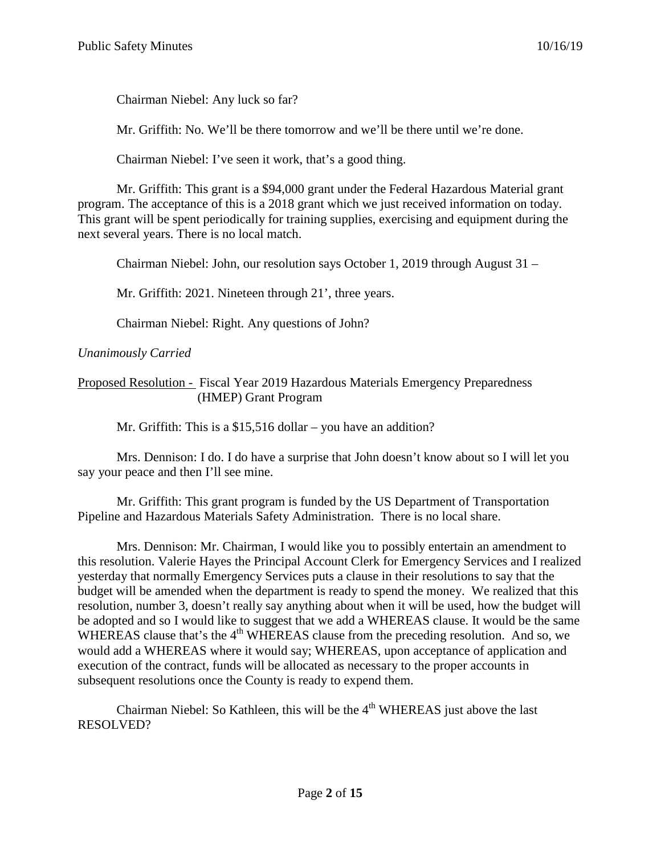Chairman Niebel: Any luck so far?

Mr. Griffith: No. We'll be there tomorrow and we'll be there until we're done.

Chairman Niebel: I've seen it work, that's a good thing.

Mr. Griffith: This grant is a \$94,000 grant under the Federal Hazardous Material grant program. The acceptance of this is a 2018 grant which we just received information on today. This grant will be spent periodically for training supplies, exercising and equipment during the next several years. There is no local match.

Chairman Niebel: John, our resolution says October 1, 2019 through August 31 –

Mr. Griffith: 2021. Nineteen through 21', three years.

Chairman Niebel: Right. Any questions of John?

## *Unanimously Carried*

Proposed Resolution - Fiscal Year 2019 Hazardous Materials Emergency Preparedness (HMEP) Grant Program

Mr. Griffith: This is a \$15,516 dollar – you have an addition?

Mrs. Dennison: I do. I do have a surprise that John doesn't know about so I will let you say your peace and then I'll see mine.

Mr. Griffith: This grant program is funded by the US Department of Transportation Pipeline and Hazardous Materials Safety Administration. There is no local share.

Mrs. Dennison: Mr. Chairman, I would like you to possibly entertain an amendment to this resolution. Valerie Hayes the Principal Account Clerk for Emergency Services and I realized yesterday that normally Emergency Services puts a clause in their resolutions to say that the budget will be amended when the department is ready to spend the money. We realized that this resolution, number 3, doesn't really say anything about when it will be used, how the budget will be adopted and so I would like to suggest that we add a WHEREAS clause. It would be the same WHEREAS clause that's the  $4<sup>th</sup>$  WHEREAS clause from the preceding resolution. And so, we would add a WHEREAS where it would say; WHEREAS, upon acceptance of application and execution of the contract, funds will be allocated as necessary to the proper accounts in subsequent resolutions once the County is ready to expend them.

Chairman Niebel: So Kathleen, this will be the  $4<sup>th</sup>$  WHEREAS just above the last RESOLVED?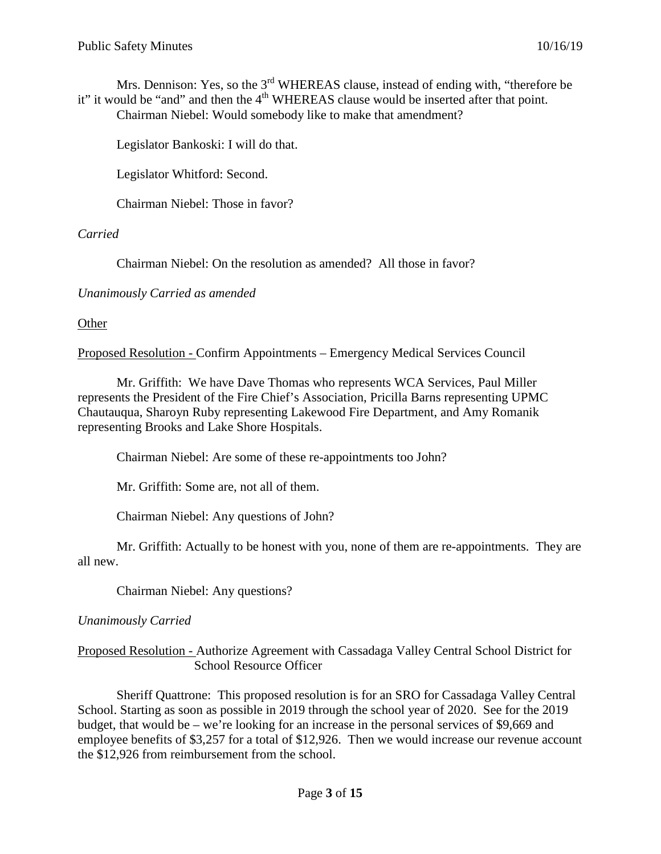Mrs. Dennison: Yes, so the 3<sup>rd</sup> WHEREAS clause, instead of ending with, "therefore be it" it would be "and" and then the 4<sup>th</sup> WHEREAS clause would be inserted after that point. Chairman Niebel: Would somebody like to make that amendment?

Legislator Bankoski: I will do that.

Legislator Whitford: Second.

Chairman Niebel: Those in favor?

#### *Carried*

Chairman Niebel: On the resolution as amended? All those in favor?

*Unanimously Carried as amended*

**Other** 

Proposed Resolution - Confirm Appointments – Emergency Medical Services Council

Mr. Griffith: We have Dave Thomas who represents WCA Services, Paul Miller represents the President of the Fire Chief's Association, Pricilla Barns representing UPMC Chautauqua, Sharoyn Ruby representing Lakewood Fire Department, and Amy Romanik representing Brooks and Lake Shore Hospitals.

Chairman Niebel: Are some of these re-appointments too John?

Mr. Griffith: Some are, not all of them.

Chairman Niebel: Any questions of John?

Mr. Griffith: Actually to be honest with you, none of them are re-appointments. They are all new.

Chairman Niebel: Any questions?

#### *Unanimously Carried*

Proposed Resolution - Authorize Agreement with Cassadaga Valley Central School District for School Resource Officer

Sheriff Quattrone: This proposed resolution is for an SRO for Cassadaga Valley Central School. Starting as soon as possible in 2019 through the school year of 2020. See for the 2019 budget, that would be – we're looking for an increase in the personal services of \$9,669 and employee benefits of \$3,257 for a total of \$12,926. Then we would increase our revenue account the \$12,926 from reimbursement from the school.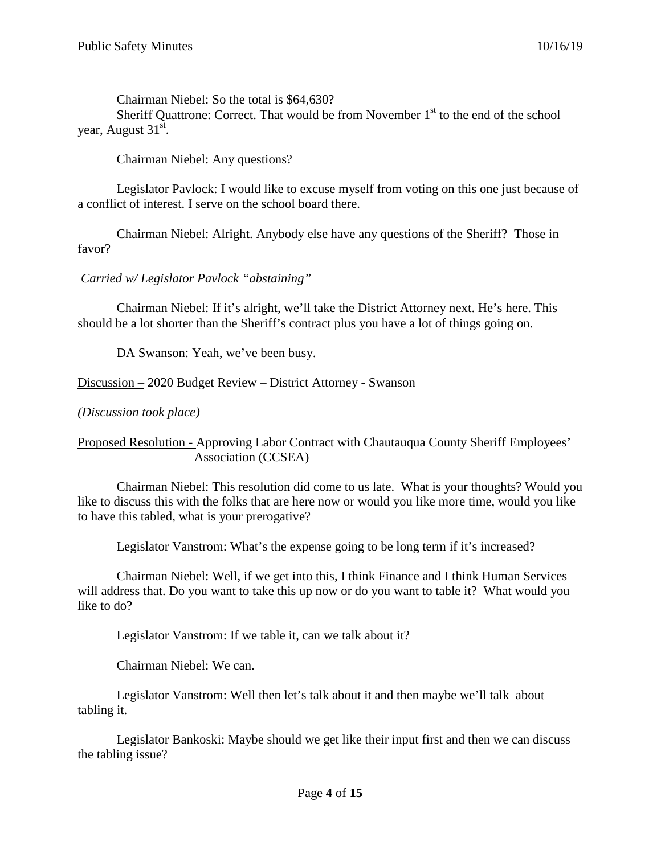Chairman Niebel: So the total is \$64,630? Sheriff Quattrone: Correct. That would be from November  $1<sup>st</sup>$  to the end of the school year, August 31<sup>st</sup>.

Chairman Niebel: Any questions?

Legislator Pavlock: I would like to excuse myself from voting on this one just because of a conflict of interest. I serve on the school board there.

Chairman Niebel: Alright. Anybody else have any questions of the Sheriff? Those in favor?

*Carried w/ Legislator Pavlock "abstaining"*

Chairman Niebel: If it's alright, we'll take the District Attorney next. He's here. This should be a lot shorter than the Sheriff's contract plus you have a lot of things going on.

DA Swanson: Yeah, we've been busy.

Discussion – 2020 Budget Review – District Attorney - Swanson

*(Discussion took place)*

Proposed Resolution - Approving Labor Contract with Chautauqua County Sheriff Employees' Association (CCSEA)

Chairman Niebel: This resolution did come to us late. What is your thoughts? Would you like to discuss this with the folks that are here now or would you like more time, would you like to have this tabled, what is your prerogative?

Legislator Vanstrom: What's the expense going to be long term if it's increased?

Chairman Niebel: Well, if we get into this, I think Finance and I think Human Services will address that. Do you want to take this up now or do you want to table it? What would you like to do?

Legislator Vanstrom: If we table it, can we talk about it?

Chairman Niebel: We can.

Legislator Vanstrom: Well then let's talk about it and then maybe we'll talk about tabling it.

Legislator Bankoski: Maybe should we get like their input first and then we can discuss the tabling issue?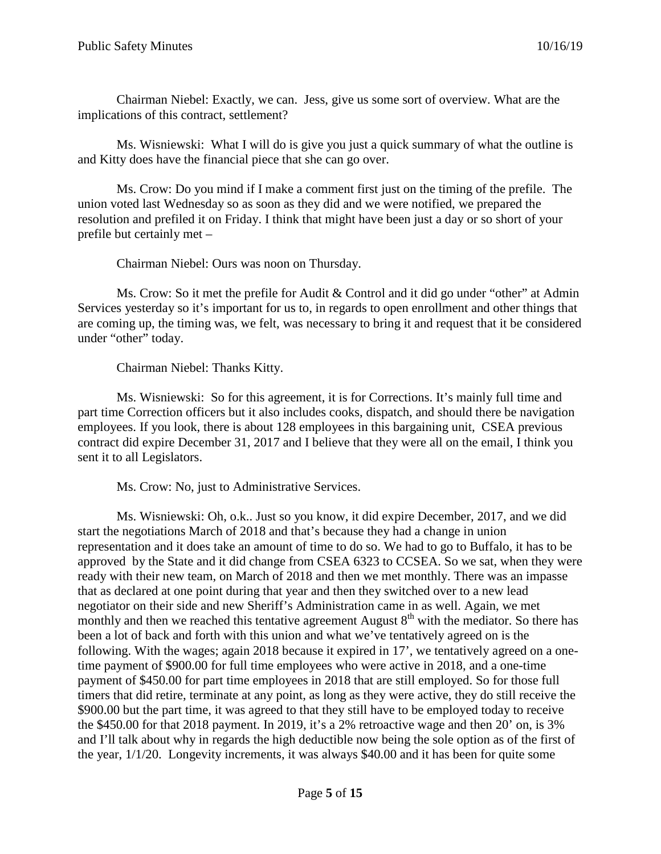Chairman Niebel: Exactly, we can. Jess, give us some sort of overview. What are the implications of this contract, settlement?

Ms. Wisniewski: What I will do is give you just a quick summary of what the outline is and Kitty does have the financial piece that she can go over.

Ms. Crow: Do you mind if I make a comment first just on the timing of the prefile. The union voted last Wednesday so as soon as they did and we were notified, we prepared the resolution and prefiled it on Friday. I think that might have been just a day or so short of your prefile but certainly met –

Chairman Niebel: Ours was noon on Thursday.

Ms. Crow: So it met the prefile for Audit & Control and it did go under "other" at Admin Services yesterday so it's important for us to, in regards to open enrollment and other things that are coming up, the timing was, we felt, was necessary to bring it and request that it be considered under "other" today.

Chairman Niebel: Thanks Kitty.

Ms. Wisniewski: So for this agreement, it is for Corrections. It's mainly full time and part time Correction officers but it also includes cooks, dispatch, and should there be navigation employees. If you look, there is about 128 employees in this bargaining unit, CSEA previous contract did expire December 31, 2017 and I believe that they were all on the email, I think you sent it to all Legislators.

Ms. Crow: No, just to Administrative Services.

Ms. Wisniewski: Oh, o.k.. Just so you know, it did expire December, 2017, and we did start the negotiations March of 2018 and that's because they had a change in union representation and it does take an amount of time to do so. We had to go to Buffalo, it has to be approved by the State and it did change from CSEA 6323 to CCSEA. So we sat, when they were ready with their new team, on March of 2018 and then we met monthly. There was an impasse that as declared at one point during that year and then they switched over to a new lead negotiator on their side and new Sheriff's Administration came in as well. Again, we met monthly and then we reached this tentative agreement August  $8<sup>th</sup>$  with the mediator. So there has been a lot of back and forth with this union and what we've tentatively agreed on is the following. With the wages; again 2018 because it expired in 17', we tentatively agreed on a onetime payment of \$900.00 for full time employees who were active in 2018, and a one-time payment of \$450.00 for part time employees in 2018 that are still employed. So for those full timers that did retire, terminate at any point, as long as they were active, they do still receive the \$900.00 but the part time, it was agreed to that they still have to be employed today to receive the \$450.00 for that 2018 payment. In 2019, it's a 2% retroactive wage and then 20' on, is 3% and I'll talk about why in regards the high deductible now being the sole option as of the first of the year, 1/1/20. Longevity increments, it was always \$40.00 and it has been for quite some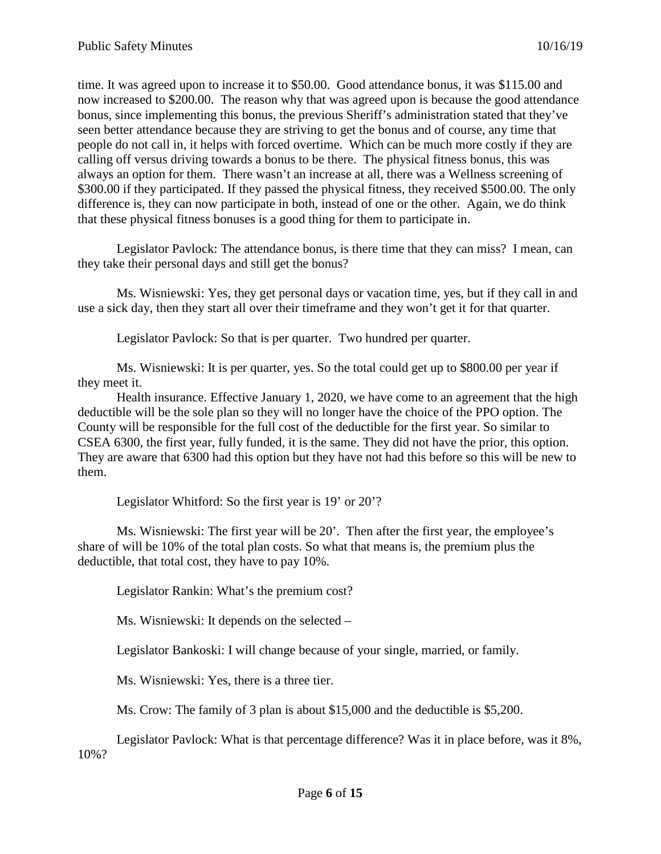time. It was agreed upon to increase it to \$50.00. Good attendance bonus, it was \$115.00 and now increased to \$200.00. The reason why that was agreed upon is because the good attendance bonus, since implementing this bonus, the previous Sheriff's administration stated that they've seen better attendance because they are striving to get the bonus and of course, any time that people do not call in, it helps with forced overtime. Which can be much more costly if they are calling off versus driving towards a bonus to be there. The physical fitness bonus, this was always an option for them. There wasn't an increase at all, there was a Wellness screening of \$300.00 if they participated. If they passed the physical fitness, they received \$500.00. The only difference is, they can now participate in both, instead of one or the other. Again, we do think that these physical fitness bonuses is a good thing for them to participate in.

Legislator Pavlock: The attendance bonus, is there time that they can miss? I mean, can they take their personal days and still get the bonus?

Ms. Wisniewski: Yes, they get personal days or vacation time, yes, but if they call in and use a sick day, then they start all over their timeframe and they won't get it for that quarter.

Legislator Pavlock: So that is per quarter. Two hundred per quarter.

Ms. Wisniewski: It is per quarter, yes. So the total could get up to \$800.00 per year if they meet it.

Health insurance. Effective January 1, 2020, we have come to an agreement that the high deductible will be the sole plan so they will no longer have the choice of the PPO option. The County will be responsible for the full cost of the deductible for the first year. So similar to CSEA 6300, the first year, fully funded, it is the same. They did not have the prior, this option. They are aware that 6300 had this option but they have not had this before so this will be new to them.

Legislator Whitford: So the first year is 19' or 20'?

Ms. Wisniewski: The first year will be 20'. Then after the first year, the employee's share of will be 10% of the total plan costs. So what that means is, the premium plus the deductible, that total cost, they have to pay 10%.

Legislator Rankin: What's the premium cost?

Ms. Wisniewski: It depends on the selected –

Legislator Bankoski: I will change because of your single, married, or family.

Ms. Wisniewski: Yes, there is a three tier.

Ms. Crow: The family of 3 plan is about \$15,000 and the deductible is \$5,200.

Legislator Pavlock: What is that percentage difference? Was it in place before, was it 8%, 10%?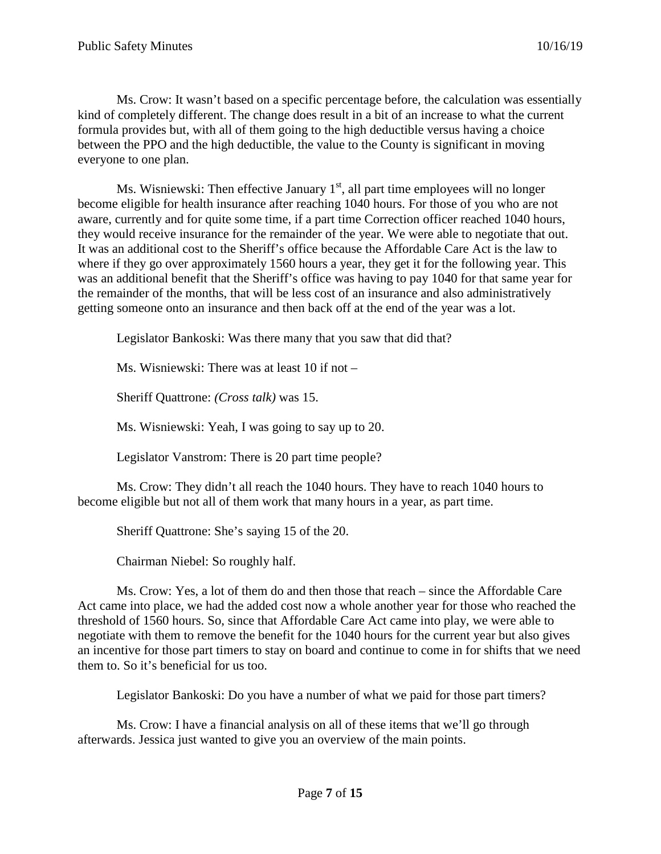Ms. Crow: It wasn't based on a specific percentage before, the calculation was essentially kind of completely different. The change does result in a bit of an increase to what the current formula provides but, with all of them going to the high deductible versus having a choice between the PPO and the high deductible, the value to the County is significant in moving everyone to one plan.

Ms. Wisniewski: Then effective January  $1<sup>st</sup>$ , all part time employees will no longer become eligible for health insurance after reaching 1040 hours. For those of you who are not aware, currently and for quite some time, if a part time Correction officer reached 1040 hours, they would receive insurance for the remainder of the year. We were able to negotiate that out. It was an additional cost to the Sheriff's office because the Affordable Care Act is the law to where if they go over approximately 1560 hours a year, they get it for the following year. This was an additional benefit that the Sheriff's office was having to pay 1040 for that same year for the remainder of the months, that will be less cost of an insurance and also administratively getting someone onto an insurance and then back off at the end of the year was a lot.

Legislator Bankoski: Was there many that you saw that did that?

Ms. Wisniewski: There was at least 10 if not –

Sheriff Quattrone: *(Cross talk)* was 15.

Ms. Wisniewski: Yeah, I was going to say up to 20.

Legislator Vanstrom: There is 20 part time people?

Ms. Crow: They didn't all reach the 1040 hours. They have to reach 1040 hours to become eligible but not all of them work that many hours in a year, as part time.

Sheriff Quattrone: She's saying 15 of the 20.

Chairman Niebel: So roughly half.

Ms. Crow: Yes, a lot of them do and then those that reach – since the Affordable Care Act came into place, we had the added cost now a whole another year for those who reached the threshold of 1560 hours. So, since that Affordable Care Act came into play, we were able to negotiate with them to remove the benefit for the 1040 hours for the current year but also gives an incentive for those part timers to stay on board and continue to come in for shifts that we need them to. So it's beneficial for us too.

Legislator Bankoski: Do you have a number of what we paid for those part timers?

Ms. Crow: I have a financial analysis on all of these items that we'll go through afterwards. Jessica just wanted to give you an overview of the main points.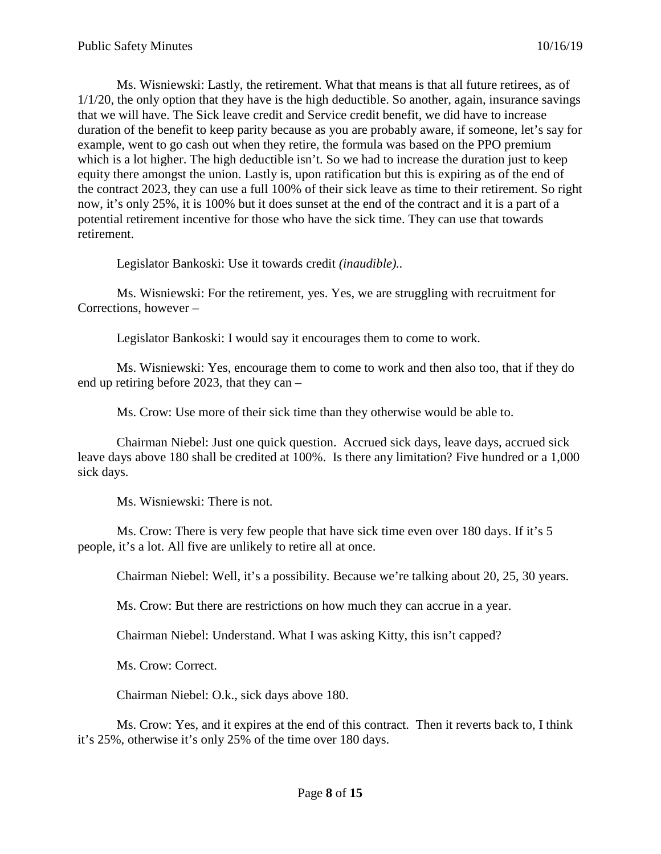Ms. Wisniewski: Lastly, the retirement. What that means is that all future retirees, as of 1/1/20, the only option that they have is the high deductible. So another, again, insurance savings that we will have. The Sick leave credit and Service credit benefit, we did have to increase duration of the benefit to keep parity because as you are probably aware, if someone, let's say for example, went to go cash out when they retire, the formula was based on the PPO premium which is a lot higher. The high deductible isn't. So we had to increase the duration just to keep equity there amongst the union. Lastly is, upon ratification but this is expiring as of the end of the contract 2023, they can use a full 100% of their sick leave as time to their retirement. So right now, it's only 25%, it is 100% but it does sunset at the end of the contract and it is a part of a potential retirement incentive for those who have the sick time. They can use that towards retirement.

Legislator Bankoski: Use it towards credit *(inaudible)..*

Ms. Wisniewski: For the retirement, yes. Yes, we are struggling with recruitment for Corrections, however –

Legislator Bankoski: I would say it encourages them to come to work.

Ms. Wisniewski: Yes, encourage them to come to work and then also too, that if they do end up retiring before 2023, that they can –

Ms. Crow: Use more of their sick time than they otherwise would be able to.

Chairman Niebel: Just one quick question. Accrued sick days, leave days, accrued sick leave days above 180 shall be credited at 100%. Is there any limitation? Five hundred or a 1,000 sick days.

Ms. Wisniewski: There is not.

Ms. Crow: There is very few people that have sick time even over 180 days. If it's 5 people, it's a lot. All five are unlikely to retire all at once.

Chairman Niebel: Well, it's a possibility. Because we're talking about 20, 25, 30 years.

Ms. Crow: But there are restrictions on how much they can accrue in a year.

Chairman Niebel: Understand. What I was asking Kitty, this isn't capped?

Ms. Crow: Correct.

Chairman Niebel: O.k., sick days above 180.

Ms. Crow: Yes, and it expires at the end of this contract. Then it reverts back to, I think it's 25%, otherwise it's only 25% of the time over 180 days.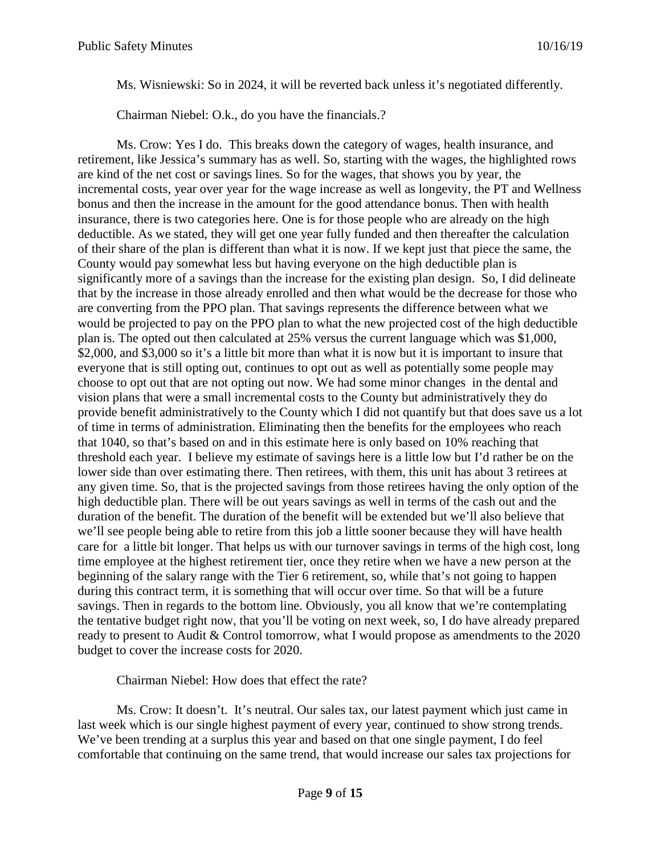Ms. Wisniewski: So in 2024, it will be reverted back unless it's negotiated differently.

Chairman Niebel: O.k., do you have the financials.?

Ms. Crow: Yes I do. This breaks down the category of wages, health insurance, and retirement, like Jessica's summary has as well. So, starting with the wages, the highlighted rows are kind of the net cost or savings lines. So for the wages, that shows you by year, the incremental costs, year over year for the wage increase as well as longevity, the PT and Wellness bonus and then the increase in the amount for the good attendance bonus. Then with health insurance, there is two categories here. One is for those people who are already on the high deductible. As we stated, they will get one year fully funded and then thereafter the calculation of their share of the plan is different than what it is now. If we kept just that piece the same, the County would pay somewhat less but having everyone on the high deductible plan is significantly more of a savings than the increase for the existing plan design. So, I did delineate that by the increase in those already enrolled and then what would be the decrease for those who are converting from the PPO plan. That savings represents the difference between what we would be projected to pay on the PPO plan to what the new projected cost of the high deductible plan is. The opted out then calculated at 25% versus the current language which was \$1,000, \$2,000, and \$3,000 so it's a little bit more than what it is now but it is important to insure that everyone that is still opting out, continues to opt out as well as potentially some people may choose to opt out that are not opting out now. We had some minor changes in the dental and vision plans that were a small incremental costs to the County but administratively they do provide benefit administratively to the County which I did not quantify but that does save us a lot of time in terms of administration. Eliminating then the benefits for the employees who reach that 1040, so that's based on and in this estimate here is only based on 10% reaching that threshold each year. I believe my estimate of savings here is a little low but I'd rather be on the lower side than over estimating there. Then retirees, with them, this unit has about 3 retirees at any given time. So, that is the projected savings from those retirees having the only option of the high deductible plan. There will be out years savings as well in terms of the cash out and the duration of the benefit. The duration of the benefit will be extended but we'll also believe that we'll see people being able to retire from this job a little sooner because they will have health care for a little bit longer. That helps us with our turnover savings in terms of the high cost, long time employee at the highest retirement tier, once they retire when we have a new person at the beginning of the salary range with the Tier 6 retirement, so, while that's not going to happen during this contract term, it is something that will occur over time. So that will be a future savings. Then in regards to the bottom line. Obviously, you all know that we're contemplating the tentative budget right now, that you'll be voting on next week, so, I do have already prepared ready to present to Audit & Control tomorrow, what I would propose as amendments to the 2020 budget to cover the increase costs for 2020.

Chairman Niebel: How does that effect the rate?

Ms. Crow: It doesn't. It's neutral. Our sales tax, our latest payment which just came in last week which is our single highest payment of every year, continued to show strong trends. We've been trending at a surplus this year and based on that one single payment, I do feel comfortable that continuing on the same trend, that would increase our sales tax projections for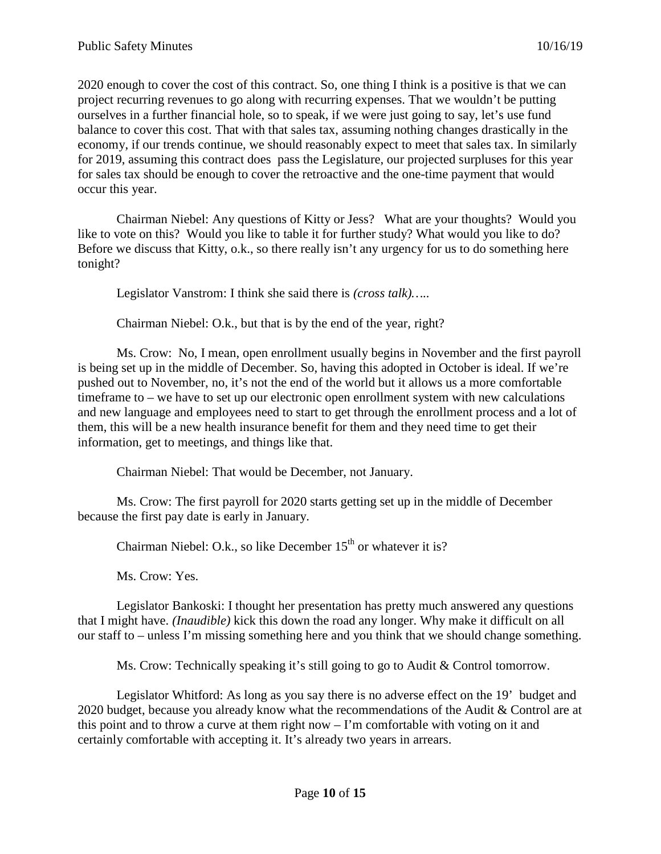2020 enough to cover the cost of this contract. So, one thing I think is a positive is that we can project recurring revenues to go along with recurring expenses. That we wouldn't be putting ourselves in a further financial hole, so to speak, if we were just going to say, let's use fund balance to cover this cost. That with that sales tax, assuming nothing changes drastically in the economy, if our trends continue, we should reasonably expect to meet that sales tax. In similarly for 2019, assuming this contract does pass the Legislature, our projected surpluses for this year for sales tax should be enough to cover the retroactive and the one-time payment that would occur this year.

Chairman Niebel: Any questions of Kitty or Jess? What are your thoughts? Would you like to vote on this? Would you like to table it for further study? What would you like to do? Before we discuss that Kitty, o.k., so there really isn't any urgency for us to do something here tonight?

Legislator Vanstrom: I think she said there is *(cross talk)…..*

Chairman Niebel: O.k., but that is by the end of the year, right?

Ms. Crow: No, I mean, open enrollment usually begins in November and the first payroll is being set up in the middle of December. So, having this adopted in October is ideal. If we're pushed out to November, no, it's not the end of the world but it allows us a more comfortable timeframe to – we have to set up our electronic open enrollment system with new calculations and new language and employees need to start to get through the enrollment process and a lot of them, this will be a new health insurance benefit for them and they need time to get their information, get to meetings, and things like that.

Chairman Niebel: That would be December, not January.

Ms. Crow: The first payroll for 2020 starts getting set up in the middle of December because the first pay date is early in January.

Chairman Niebel: O.k., so like December  $15<sup>th</sup>$  or whatever it is?

Ms. Crow: Yes.

Legislator Bankoski: I thought her presentation has pretty much answered any questions that I might have. *(Inaudible)* kick this down the road any longer. Why make it difficult on all our staff to – unless I'm missing something here and you think that we should change something.

Ms. Crow: Technically speaking it's still going to go to Audit & Control tomorrow.

Legislator Whitford: As long as you say there is no adverse effect on the 19' budget and 2020 budget, because you already know what the recommendations of the Audit & Control are at this point and to throw a curve at them right now  $-$  I'm comfortable with voting on it and certainly comfortable with accepting it. It's already two years in arrears.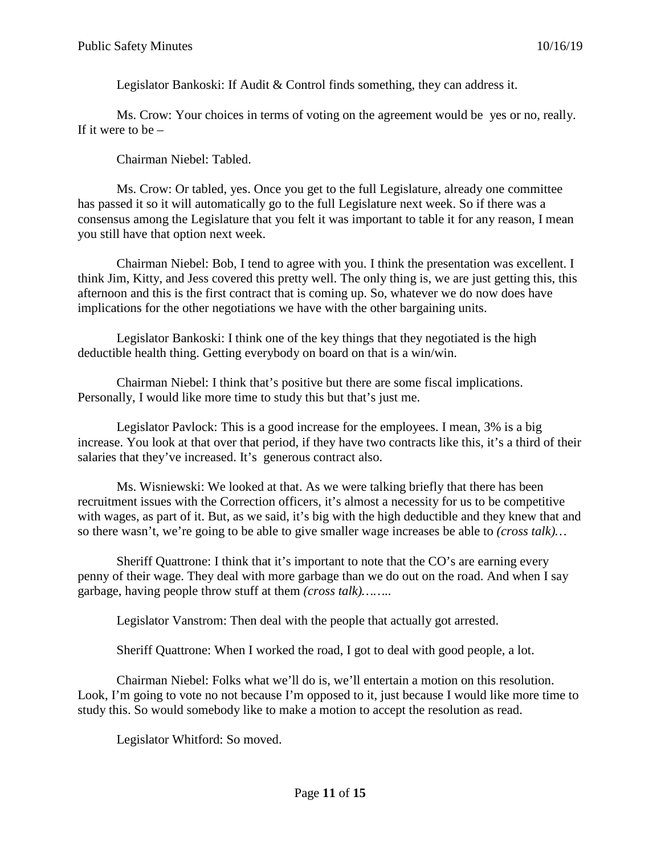Legislator Bankoski: If Audit & Control finds something, they can address it.

Ms. Crow: Your choices in terms of voting on the agreement would be yes or no, really. If it were to be  $-$ 

Chairman Niebel: Tabled.

Ms. Crow: Or tabled, yes. Once you get to the full Legislature, already one committee has passed it so it will automatically go to the full Legislature next week. So if there was a consensus among the Legislature that you felt it was important to table it for any reason, I mean you still have that option next week.

Chairman Niebel: Bob, I tend to agree with you. I think the presentation was excellent. I think Jim, Kitty, and Jess covered this pretty well. The only thing is, we are just getting this, this afternoon and this is the first contract that is coming up. So, whatever we do now does have implications for the other negotiations we have with the other bargaining units.

Legislator Bankoski: I think one of the key things that they negotiated is the high deductible health thing. Getting everybody on board on that is a win/win.

Chairman Niebel: I think that's positive but there are some fiscal implications. Personally, I would like more time to study this but that's just me.

Legislator Pavlock: This is a good increase for the employees. I mean, 3% is a big increase. You look at that over that period, if they have two contracts like this, it's a third of their salaries that they've increased. It's generous contract also.

Ms. Wisniewski: We looked at that. As we were talking briefly that there has been recruitment issues with the Correction officers, it's almost a necessity for us to be competitive with wages, as part of it. But, as we said, it's big with the high deductible and they knew that and so there wasn't, we're going to be able to give smaller wage increases be able to *(cross talk)…*

Sheriff Quattrone: I think that it's important to note that the CO's are earning every penny of their wage. They deal with more garbage than we do out on the road. And when I say garbage, having people throw stuff at them *(cross talk)……..*

Legislator Vanstrom: Then deal with the people that actually got arrested.

Sheriff Quattrone: When I worked the road, I got to deal with good people, a lot.

Chairman Niebel: Folks what we'll do is, we'll entertain a motion on this resolution. Look, I'm going to vote no not because I'm opposed to it, just because I would like more time to study this. So would somebody like to make a motion to accept the resolution as read.

Legislator Whitford: So moved.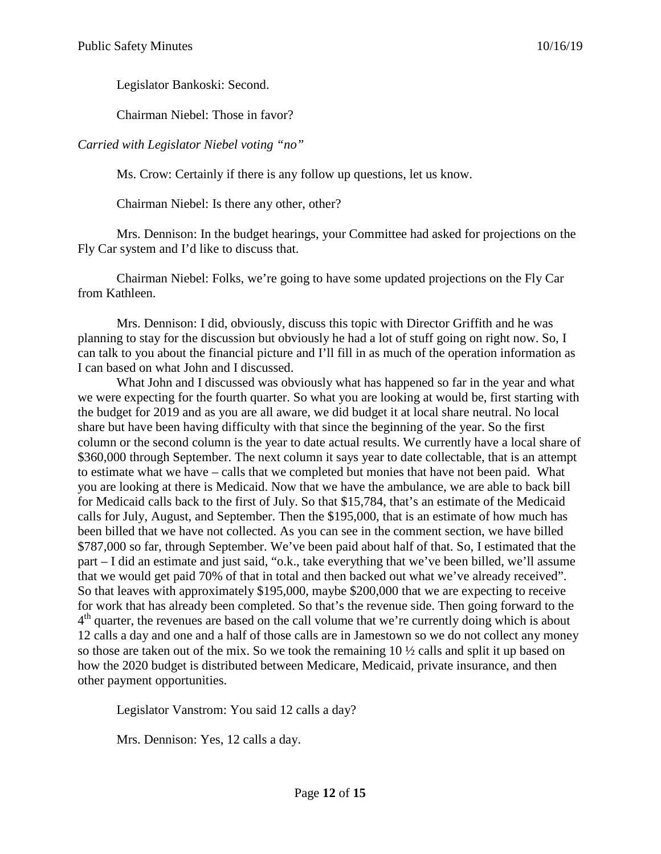Legislator Bankoski: Second.

Chairman Niebel: Those in favor?

*Carried with Legislator Niebel voting "no"*

Ms. Crow: Certainly if there is any follow up questions, let us know.

Chairman Niebel: Is there any other, other?

Mrs. Dennison: In the budget hearings, your Committee had asked for projections on the Fly Car system and I'd like to discuss that.

Chairman Niebel: Folks, we're going to have some updated projections on the Fly Car from Kathleen.

Mrs. Dennison: I did, obviously, discuss this topic with Director Griffith and he was planning to stay for the discussion but obviously he had a lot of stuff going on right now. So, I can talk to you about the financial picture and I'll fill in as much of the operation information as I can based on what John and I discussed.

What John and I discussed was obviously what has happened so far in the year and what we were expecting for the fourth quarter. So what you are looking at would be, first starting with the budget for 2019 and as you are all aware, we did budget it at local share neutral. No local share but have been having difficulty with that since the beginning of the year. So the first column or the second column is the year to date actual results. We currently have a local share of \$360,000 through September. The next column it says year to date collectable, that is an attempt to estimate what we have – calls that we completed but monies that have not been paid. What you are looking at there is Medicaid. Now that we have the ambulance, we are able to back bill for Medicaid calls back to the first of July. So that \$15,784, that's an estimate of the Medicaid calls for July, August, and September. Then the \$195,000, that is an estimate of how much has been billed that we have not collected. As you can see in the comment section, we have billed \$787,000 so far, through September. We've been paid about half of that. So, I estimated that the part – I did an estimate and just said, "o.k., take everything that we've been billed, we'll assume that we would get paid 70% of that in total and then backed out what we've already received". So that leaves with approximately \$195,000, maybe \$200,000 that we are expecting to receive for work that has already been completed. So that's the revenue side. Then going forward to the  $4<sup>th</sup>$  quarter, the revenues are based on the call volume that we're currently doing which is about 12 calls a day and one and a half of those calls are in Jamestown so we do not collect any money so those are taken out of the mix. So we took the remaining  $10 \frac{1}{2}$  calls and split it up based on how the 2020 budget is distributed between Medicare, Medicaid, private insurance, and then other payment opportunities.

Legislator Vanstrom: You said 12 calls a day?

Mrs. Dennison: Yes, 12 calls a day.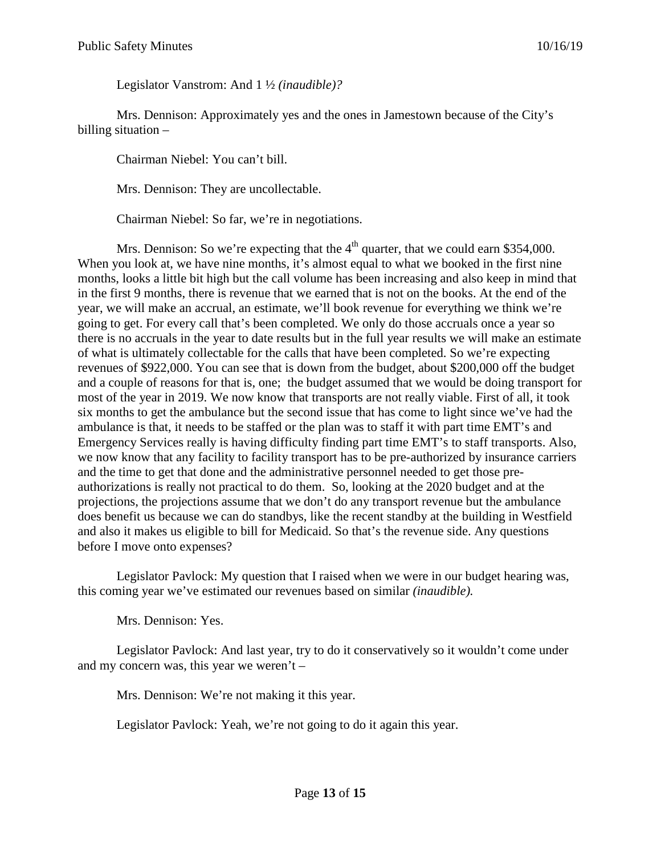Legislator Vanstrom: And 1 ½ *(inaudible)?*

Mrs. Dennison: Approximately yes and the ones in Jamestown because of the City's billing situation –

Chairman Niebel: You can't bill.

Mrs. Dennison: They are uncollectable.

Chairman Niebel: So far, we're in negotiations.

Mrs. Dennison: So we're expecting that the  $4<sup>th</sup>$  quarter, that we could earn \$354,000. When you look at, we have nine months, it's almost equal to what we booked in the first nine months, looks a little bit high but the call volume has been increasing and also keep in mind that in the first 9 months, there is revenue that we earned that is not on the books. At the end of the year, we will make an accrual, an estimate, we'll book revenue for everything we think we're going to get. For every call that's been completed. We only do those accruals once a year so there is no accruals in the year to date results but in the full year results we will make an estimate of what is ultimately collectable for the calls that have been completed. So we're expecting revenues of \$922,000. You can see that is down from the budget, about \$200,000 off the budget and a couple of reasons for that is, one; the budget assumed that we would be doing transport for most of the year in 2019. We now know that transports are not really viable. First of all, it took six months to get the ambulance but the second issue that has come to light since we've had the ambulance is that, it needs to be staffed or the plan was to staff it with part time EMT's and Emergency Services really is having difficulty finding part time EMT's to staff transports. Also, we now know that any facility to facility transport has to be pre-authorized by insurance carriers and the time to get that done and the administrative personnel needed to get those preauthorizations is really not practical to do them. So, looking at the 2020 budget and at the projections, the projections assume that we don't do any transport revenue but the ambulance does benefit us because we can do standbys, like the recent standby at the building in Westfield and also it makes us eligible to bill for Medicaid. So that's the revenue side. Any questions before I move onto expenses?

Legislator Pavlock: My question that I raised when we were in our budget hearing was, this coming year we've estimated our revenues based on similar *(inaudible).*

Mrs. Dennison: Yes.

Legislator Pavlock: And last year, try to do it conservatively so it wouldn't come under and my concern was, this year we weren't –

Mrs. Dennison: We're not making it this year.

Legislator Pavlock: Yeah, we're not going to do it again this year.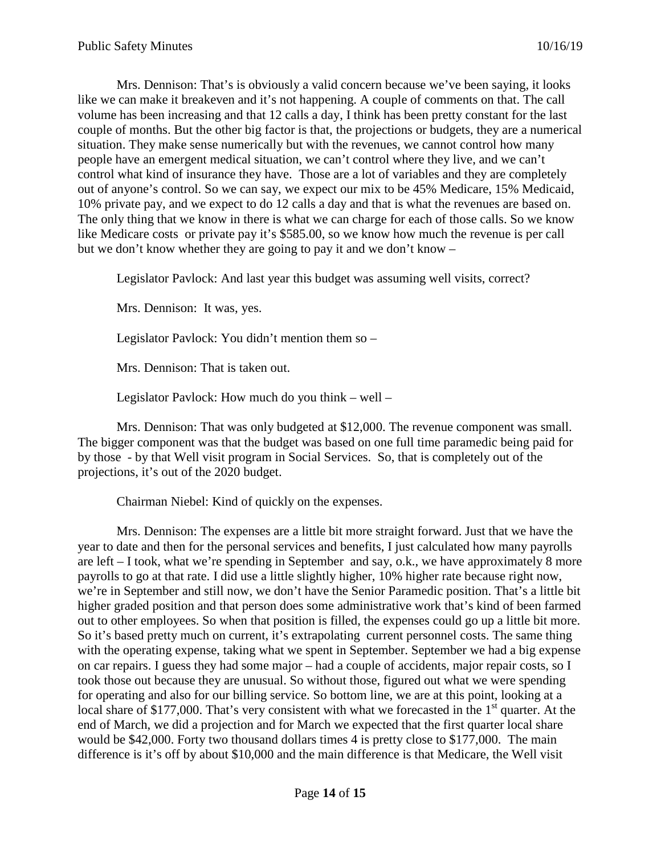Mrs. Dennison: That's is obviously a valid concern because we've been saying, it looks like we can make it breakeven and it's not happening. A couple of comments on that. The call volume has been increasing and that 12 calls a day, I think has been pretty constant for the last couple of months. But the other big factor is that, the projections or budgets, they are a numerical situation. They make sense numerically but with the revenues, we cannot control how many people have an emergent medical situation, we can't control where they live, and we can't control what kind of insurance they have. Those are a lot of variables and they are completely out of anyone's control. So we can say, we expect our mix to be 45% Medicare, 15% Medicaid, 10% private pay, and we expect to do 12 calls a day and that is what the revenues are based on. The only thing that we know in there is what we can charge for each of those calls. So we know like Medicare costs or private pay it's \$585.00, so we know how much the revenue is per call but we don't know whether they are going to pay it and we don't know –

Legislator Pavlock: And last year this budget was assuming well visits, correct?

Mrs. Dennison: It was, yes.

Legislator Pavlock: You didn't mention them so –

Mrs. Dennison: That is taken out.

Legislator Pavlock: How much do you think – well –

Mrs. Dennison: That was only budgeted at \$12,000. The revenue component was small. The bigger component was that the budget was based on one full time paramedic being paid for by those - by that Well visit program in Social Services. So, that is completely out of the projections, it's out of the 2020 budget.

Chairman Niebel: Kind of quickly on the expenses.

Mrs. Dennison: The expenses are a little bit more straight forward. Just that we have the year to date and then for the personal services and benefits, I just calculated how many payrolls are left – I took, what we're spending in September and say, o.k., we have approximately 8 more payrolls to go at that rate. I did use a little slightly higher, 10% higher rate because right now, we're in September and still now, we don't have the Senior Paramedic position. That's a little bit higher graded position and that person does some administrative work that's kind of been farmed out to other employees. So when that position is filled, the expenses could go up a little bit more. So it's based pretty much on current, it's extrapolating current personnel costs. The same thing with the operating expense, taking what we spent in September. September we had a big expense on car repairs. I guess they had some major – had a couple of accidents, major repair costs, so I took those out because they are unusual. So without those, figured out what we were spending for operating and also for our billing service. So bottom line, we are at this point, looking at a local share of \$177,000. That's very consistent with what we forecasted in the 1<sup>st</sup> quarter. At the end of March, we did a projection and for March we expected that the first quarter local share would be \$42,000. Forty two thousand dollars times 4 is pretty close to \$177,000. The main difference is it's off by about \$10,000 and the main difference is that Medicare, the Well visit